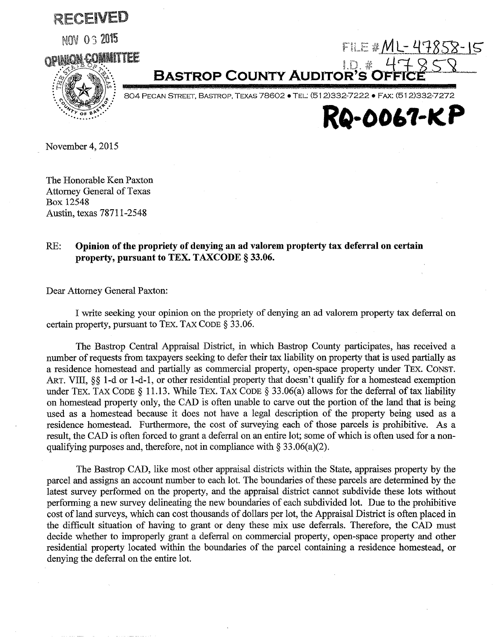RECEIVED

**NOV 03 2015** 



1.门 参 **BASTROP COUNTY AUDITOR'S C** 

804 PECAN STREET, BASTROP, TEXAS 78602 · TEL: (512)332-7222 · FAX: (512)332-7272



 $F1LE M L - 47858 - 15$ 

November 4, 2015

The Honorable Ken Paxton **Attorney General of Texas** Box 12548 Austin, texas 78711-2548

## RE: Opinion of the propriety of denying an ad valorem propterty tax deferral on certain property, pursuant to TEX. TAXCODE § 33.06.

Dear Attorney General Paxton:

I write seeking your opinion on the propriety of denying an ad valorem property tax deferral on certain property, pursuant to TEX. TAX CODE § 33.06.

The Bastrop Central Appraisal District, in which Bastrop County participates, has received a number of requests from taxpayers seeking to defer their tax liability on property that is used partially as a residence homestead and partially as commercial property, open-space property under TEX. CONST. ART. VIII, §§ 1-d or 1-d-1, or other residential property that doesn't qualify for a homestead exemption under TEX. TAX CODE § 11.13. While TEX. TAX CODE § 33.06(a) allows for the deferral of tax liability on homestead property only, the CAD is often unable to carve out the portion of the land that is being used as a homestead because it does not have a legal description of the property being used as a residence homestead. Furthermore, the cost of surveying each of those parcels is prohibitive. As a result, the CAD is often forced to grant a deferral on an entire lot; some of which is often used for a nonqualifying purposes and, therefore, not in compliance with  $\S 33.06(a)(2)$ .

The Bastrop CAD, like most other appraisal districts within the State, appraises property by the parcel and assigns an account number to each lot. The boundaries of these parcels are determined by the latest survey performed on the property, and the appraisal district cannot subdivide these lots without performing a new survey delineating the new boundaries of each subdivided lot. Due to the prohibitive cost of land surveys, which can cost thousands of dollars per lot, the Appraisal District is often placed in the difficult situation of having to grant or deny these mix use deferrals. Therefore, the CAD must decide whether to improperly grant a deferral on commercial property, open-space property and other residential property located within the boundaries of the parcel containing a residence homestead, or denying the deferral on the entire lot.